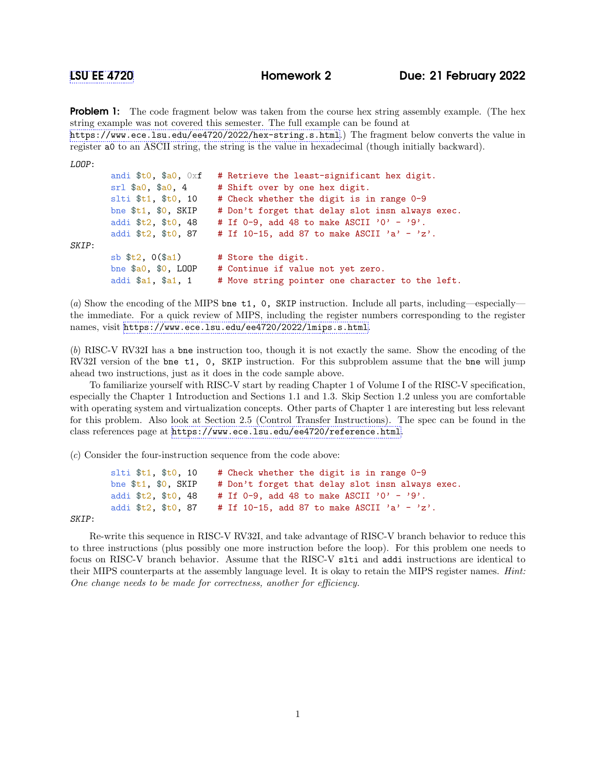**Problem 1:** The code fragment below was taken from the course hex string assembly example. (The hex string example was not covered this semester. The full example can be found at

<https://www.ece.lsu.edu/ee4720/2022/hex-string.s.html>.) The fragment below converts the value in register a0 to an ASCII string, the string is the value in hexadecimal (though initially backward).

```
LOOP:
```

```
andi $t0, $a0, 0xf    # Retrieve the least-significant hex digit.
       srl $a0, $a0, 4 # Shift over by one hex digit.
       slti t_1, t_0, 10 # Check whether the digit is in range 0-9
       bne t_1, 0, SKIP # Don't forget that delay slot insn always exec.
       addi t2, t0, 48 # If 0-9, add 48 to make ASCII '0' - '9'.
       addi t_2, t_0, t_1, t_2 + If 10-15, add 87 to make ASCII 'a' - 'z'.
SKIP:
       sb t2, 0(ta1) # Store the digit.
       bne $a0, $0, LOOP # Continue if value not yet zero.
       addi $a1, $a1, 1 # Move string pointer one character to the left.
```
(a) Show the encoding of the MIPS bne t1, 0, SKIP instruction. Include all parts, including—especially the immediate. For a quick review of MIPS, including the register numbers corresponding to the register names, visit <https://www.ece.lsu.edu/ee4720/2022/lmips.s.html>.

(b) RISC-V RV32I has a bne instruction too, though it is not exactly the same. Show the encoding of the RV32I version of the bne t1, 0, SKIP instruction. For this subproblem assume that the bne will jump ahead two instructions, just as it does in the code sample above.

To familiarize yourself with RISC-V start by reading Chapter 1 of Volume I of the RISC-V specification, especially the Chapter 1 Introduction and Sections 1.1 and 1.3. Skip Section 1.2 unless you are comfortable with operating system and virtualization concepts. Other parts of Chapter 1 are interesting but less relevant for this problem. Also look at Section 2.5 (Control Transfer Instructions). The spec can be found in the class references page at <https://www.ece.lsu.edu/ee4720/reference.html>.

(c) Consider the four-instruction sequence from the code above:

```
slti t_1, t_0, t_1, t_1 and t_2 the check whether the digit is in range 0-9
bne t_1, 0, SKIP # Don't forget that delay slot insn always exec.
addi t^2, t^0, t^1, t^2 + t^3 + t^4 + t^5 + t^0 + t^0, add 48 to make ASCII t^0 - t^0.
addi t2, t0, 87 # If 10-15, add 87 to make ASCII 'a' - 'z'.
```
## SKIP:

Re-write this sequence in RISC-V RV32I, and take advantage of RISC-V branch behavior to reduce this to three instructions (plus possibly one more instruction before the loop). For this problem one needs to focus on RISC-V branch behavior. Assume that the RISC-V slti and addi instructions are identical to their MIPS counterparts at the assembly language level. It is okay to retain the MIPS register names. Hint: One change needs to be made for correctness, another for efficiency.